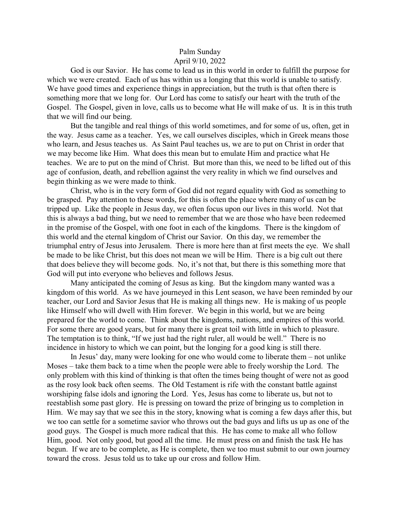## Palm Sunday April 9/10, 2022

God is our Savior. He has come to lead us in this world in order to fulfill the purpose for which we were created. Each of us has within us a longing that this world is unable to satisfy. We have good times and experience things in appreciation, but the truth is that often there is something more that we long for. Our Lord has come to satisfy our heart with the truth of the Gospel. The Gospel, given in love, calls us to become what He will make of us. It is in this truth that we will find our being.

But the tangible and real things of this world sometimes, and for some of us, often, get in the way. Jesus came as a teacher. Yes, we call ourselves disciples, which in Greek means those who learn, and Jesus teaches us. As Saint Paul teaches us, we are to put on Christ in order that we may become like Him. What does this mean but to emulate Him and practice what He teaches. We are to put on the mind of Christ. But more than this, we need to be lifted out of this age of confusion, death, and rebellion against the very reality in which we find ourselves and begin thinking as we were made to think.

Christ, who is in the very form of God did not regard equality with God as something to be grasped. Pay attention to these words, for this is often the place where many of us can be tripped up. Like the people in Jesus day, we often focus upon our lives in this world. Not that this is always a bad thing, but we need to remember that we are those who have been redeemed in the promise of the Gospel, with one foot in each of the kingdoms. There is the kingdom of this world and the eternal kingdom of Christ our Savior. On this day, we remember the triumphal entry of Jesus into Jerusalem. There is more here than at first meets the eye. We shall be made to be like Christ, but this does not mean we will be Him. There is a big cult out there that does believe they will become gods. No, it's not that, but there is this something more that God will put into everyone who believes and follows Jesus.

Many anticipated the coming of Jesus as king. But the kingdom many wanted was a kingdom of this world. As we have journeyed in this Lent season, we have been reminded by our teacher, our Lord and Savior Jesus that He is making all things new. He is making of us people like Himself who will dwell with Him forever. We begin in this world, but we are being prepared for the world to come. Think about the kingdoms, nations, and empires of this world. For some there are good years, but for many there is great toil with little in which to pleasure. The temptation is to think, "If we just had the right ruler, all would be well." There is no incidence in history to which we can point, but the longing for a good king is still there.

In Jesus' day, many were looking for one who would come to liberate them – not unlike Moses – take them back to a time when the people were able to freely worship the Lord. The only problem with this kind of thinking is that often the times being thought of were not as good as the rosy look back often seems. The Old Testament is rife with the constant battle against worshiping false idols and ignoring the Lord. Yes, Jesus has come to liberate us, but not to reestablish some past glory. He is pressing on toward the prize of bringing us to completion in Him. We may say that we see this in the story, knowing what is coming a few days after this, but we too can settle for a sometime savior who throws out the bad guys and lifts us up as one of the good guys. The Gospel is much more radical that this. He has come to make all who follow Him, good. Not only good, but good all the time. He must press on and finish the task He has begun. If we are to be complete, as He is complete, then we too must submit to our own journey toward the cross. Jesus told us to take up our cross and follow Him.